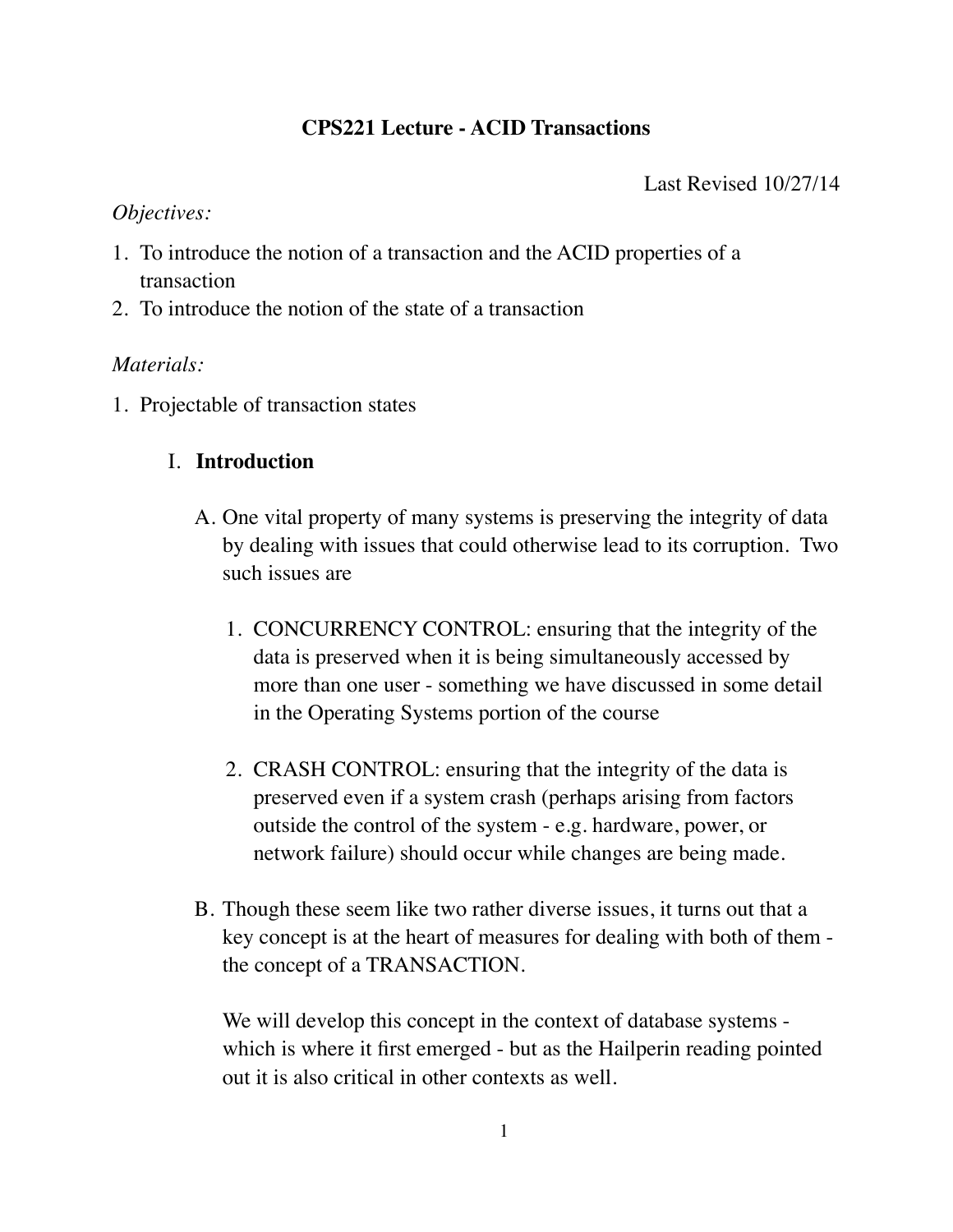## **CPS221 Lecture - ACID Transactions**

Last Revised 10/27/14

### *Objectives:*

- 1. To introduce the notion of a transaction and the ACID properties of a transaction
- 2. To introduce the notion of the state of a transaction

## *Materials:*

1. Projectable of transaction states

# I. **Introduction**

- A. One vital property of many systems is preserving the integrity of data by dealing with issues that could otherwise lead to its corruption. Two such issues are
	- 1. CONCURRENCY CONTROL: ensuring that the integrity of the data is preserved when it is being simultaneously accessed by more than one user - something we have discussed in some detail in the Operating Systems portion of the course
	- 2. CRASH CONTROL: ensuring that the integrity of the data is preserved even if a system crash (perhaps arising from factors outside the control of the system - e.g. hardware, power, or network failure) should occur while changes are being made.
- B. Though these seem like two rather diverse issues, it turns out that a key concept is at the heart of measures for dealing with both of them the concept of a TRANSACTION.

We will develop this concept in the context of database systems which is where it first emerged - but as the Hailperin reading pointed out it is also critical in other contexts as well.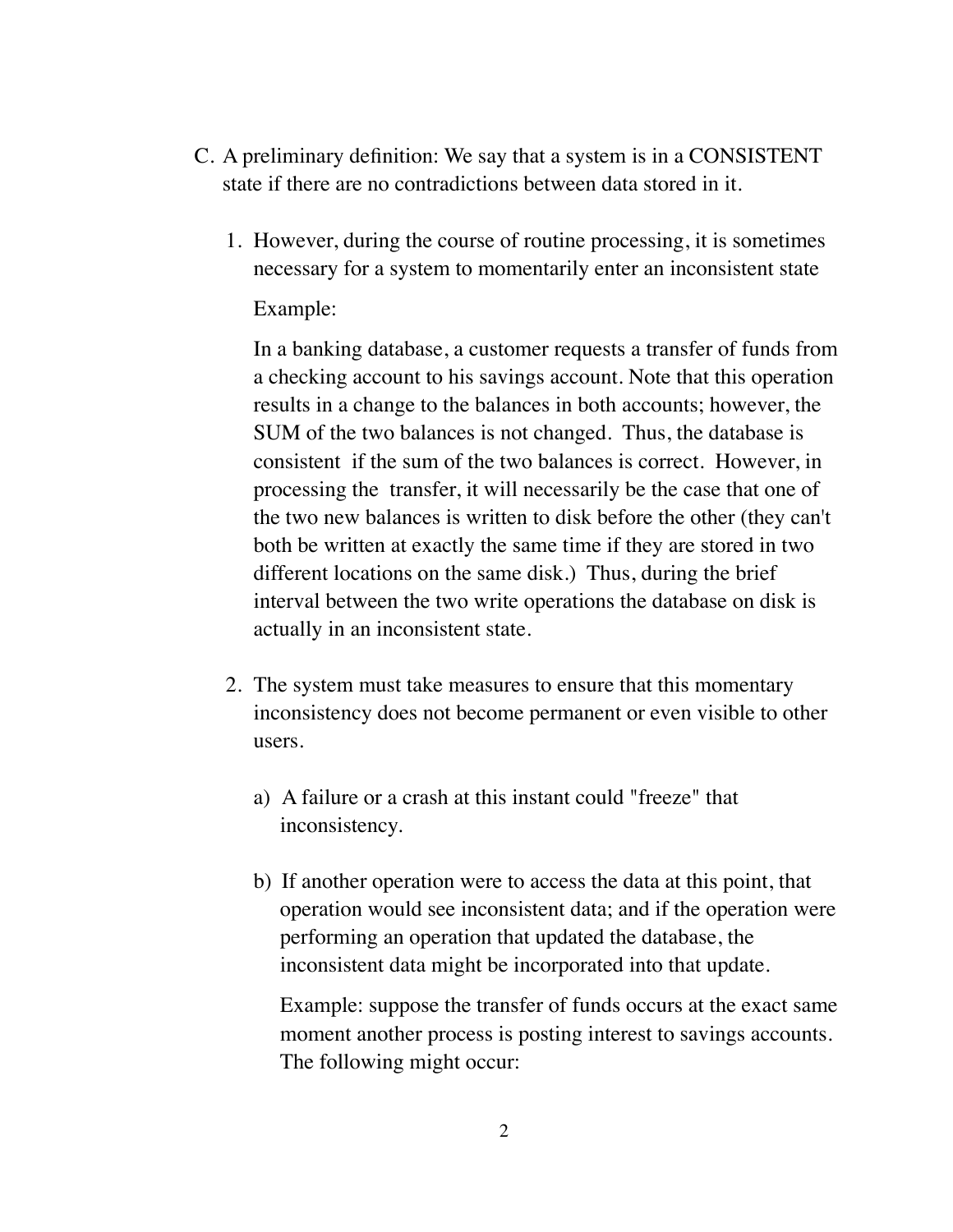- C. A preliminary definition: We say that a system is in a CONSISTENT state if there are no contradictions between data stored in it.
	- 1. However, during the course of routine processing, it is sometimes necessary for a system to momentarily enter an inconsistent state Example:

In a banking database, a customer requests a transfer of funds from a checking account to his savings account. Note that this operation results in a change to the balances in both accounts; however, the SUM of the two balances is not changed. Thus, the database is consistent if the sum of the two balances is correct. However, in processing the transfer, it will necessarily be the case that one of the two new balances is written to disk before the other (they can't both be written at exactly the same time if they are stored in two different locations on the same disk.) Thus, during the brief interval between the two write operations the database on disk is actually in an inconsistent state.

- 2. The system must take measures to ensure that this momentary inconsistency does not become permanent or even visible to other users.
	- a) A failure or a crash at this instant could "freeze" that inconsistency.
	- b) If another operation were to access the data at this point, that operation would see inconsistent data; and if the operation were performing an operation that updated the database, the inconsistent data might be incorporated into that update.

Example: suppose the transfer of funds occurs at the exact same moment another process is posting interest to savings accounts. The following might occur: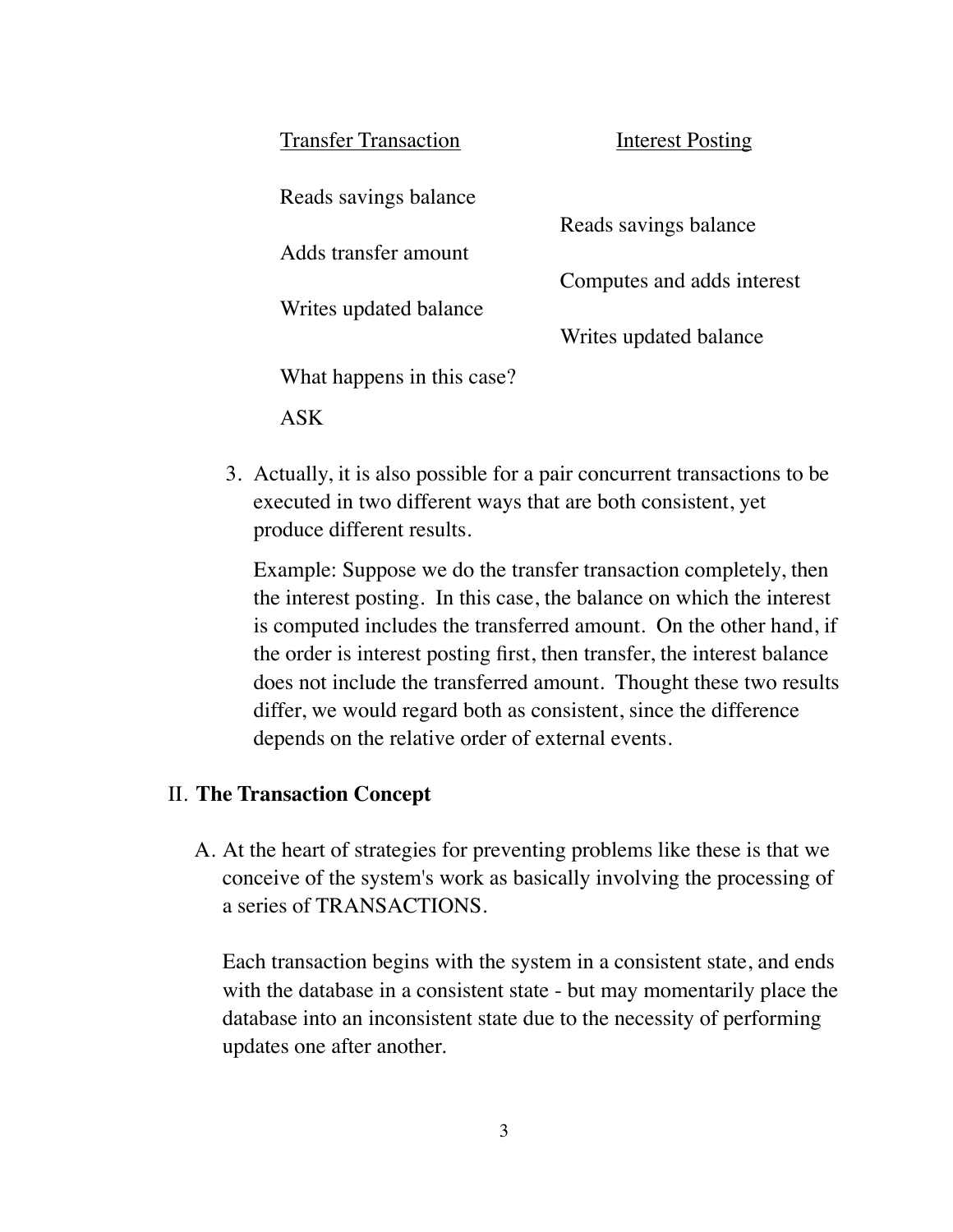| <b>Transfer Transaction</b> | Interest Posting           |
|-----------------------------|----------------------------|
| Reads savings balance       |                            |
|                             | Reads savings balance      |
| Adds transfer amount        |                            |
|                             | Computes and adds interest |
| Writes updated balance      |                            |
|                             | Writes updated balance     |
| What happens in this case?  |                            |
|                             |                            |

3. Actually, it is also possible for a pair concurrent transactions to be executed in two different ways that are both consistent, yet produce different results.

Example: Suppose we do the transfer transaction completely, then the interest posting. In this case, the balance on which the interest is computed includes the transferred amount. On the other hand, if the order is interest posting first, then transfer, the interest balance does not include the transferred amount. Thought these two results differ, we would regard both as consistent, since the difference depends on the relative order of external events.

### II. **The Transaction Concept**

A. At the heart of strategies for preventing problems like these is that we conceive of the system's work as basically involving the processing of a series of TRANSACTIONS.

Each transaction begins with the system in a consistent state, and ends with the database in a consistent state - but may momentarily place the database into an inconsistent state due to the necessity of performing updates one after another.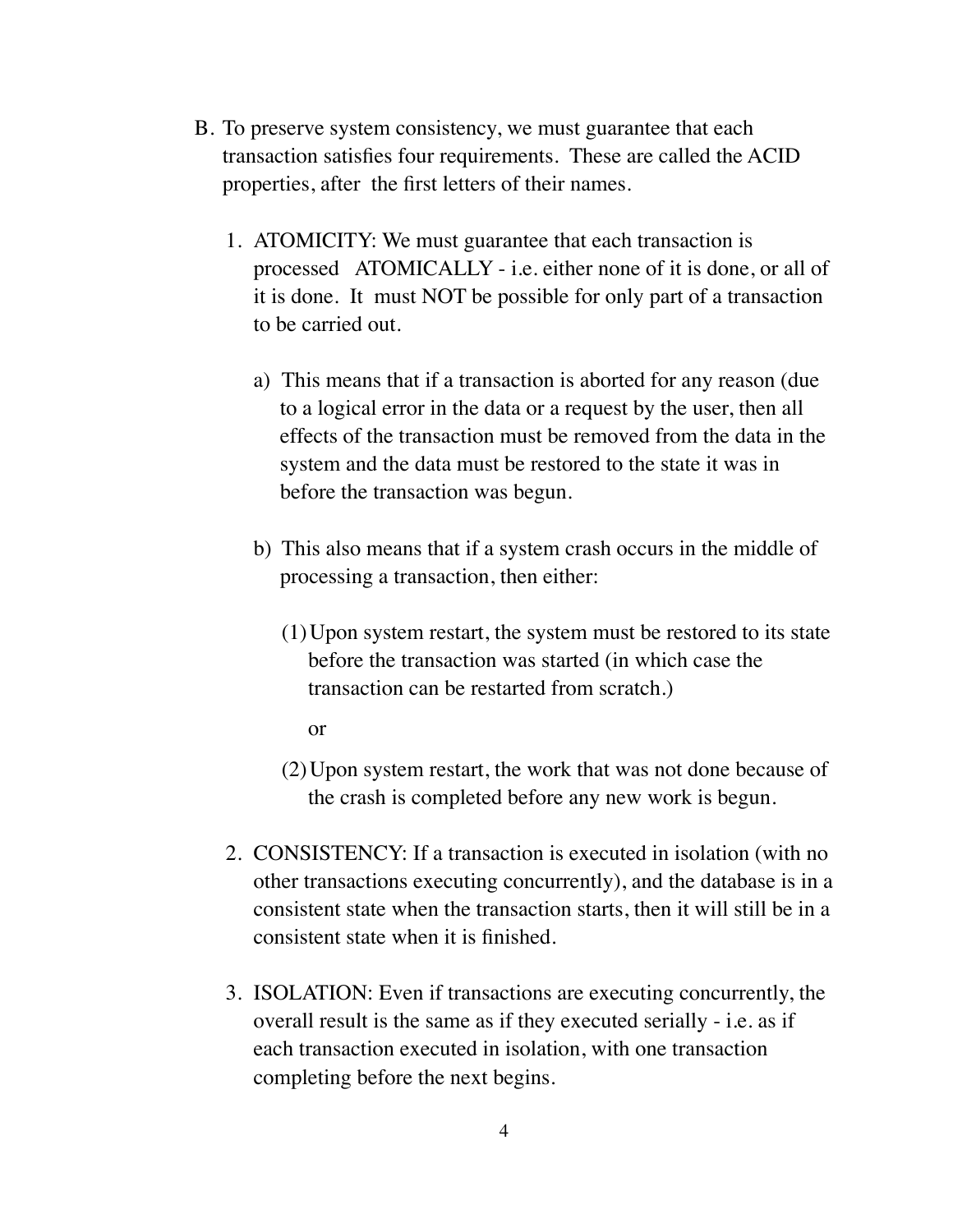- B. To preserve system consistency, we must guarantee that each transaction satisfies four requirements. These are called the ACID properties, after the first letters of their names.
	- 1. ATOMICITY: We must guarantee that each transaction is processed ATOMICALLY - i.e. either none of it is done, or all of it is done. It must NOT be possible for only part of a transaction to be carried out.
		- a) This means that if a transaction is aborted for any reason (due to a logical error in the data or a request by the user, then all effects of the transaction must be removed from the data in the system and the data must be restored to the state it was in before the transaction was begun.
		- b) This also means that if a system crash occurs in the middle of processing a transaction, then either:
			- (1)Upon system restart, the system must be restored to its state before the transaction was started (in which case the transaction can be restarted from scratch.)

or

- (2)Upon system restart, the work that was not done because of the crash is completed before any new work is begun.
- 2. CONSISTENCY: If a transaction is executed in isolation (with no other transactions executing concurrently), and the database is in a consistent state when the transaction starts, then it will still be in a consistent state when it is finished.
- 3. ISOLATION: Even if transactions are executing concurrently, the overall result is the same as if they executed serially - i.e. as if each transaction executed in isolation, with one transaction completing before the next begins.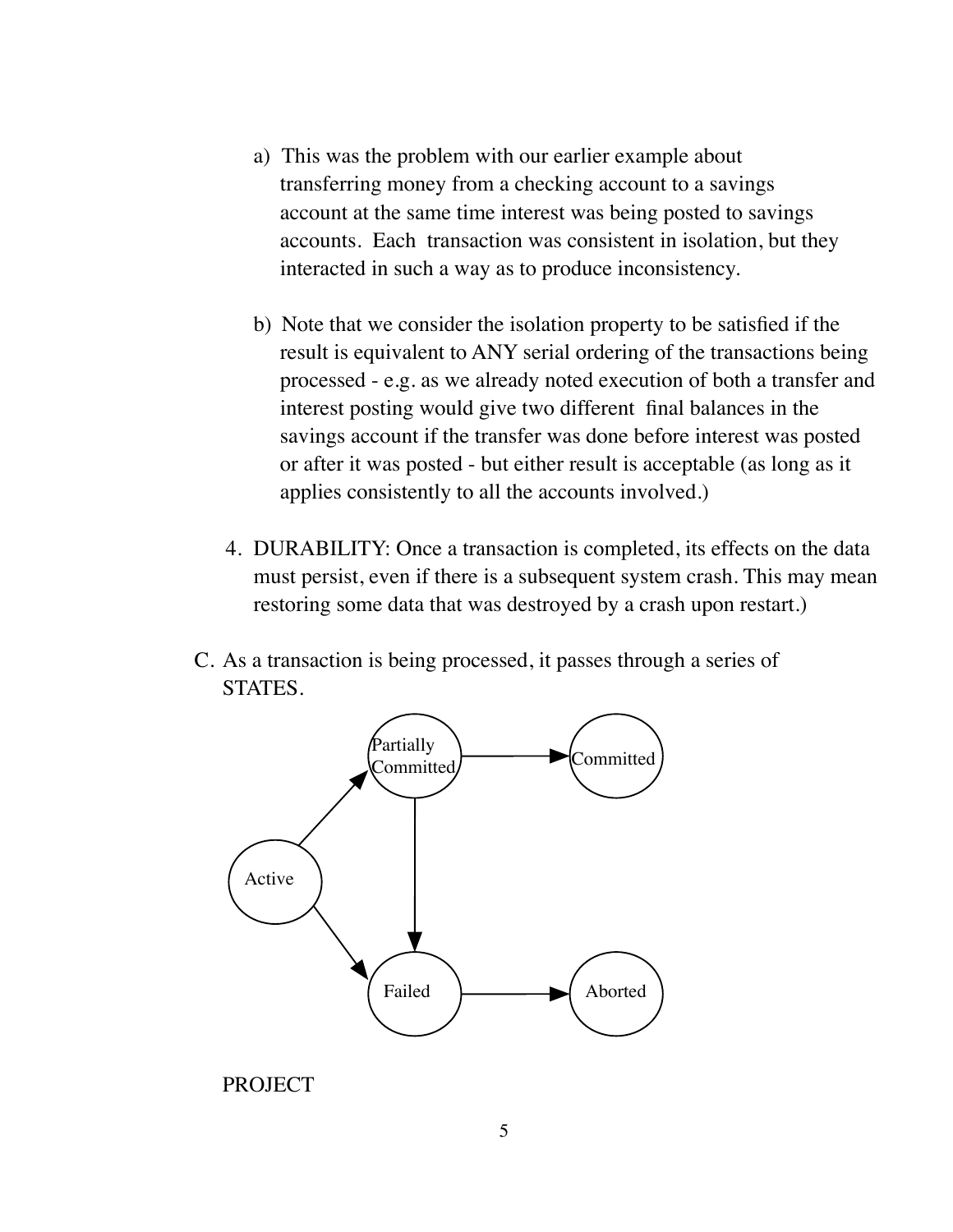- a) This was the problem with our earlier example about transferring money from a checking account to a savings account at the same time interest was being posted to savings accounts. Each transaction was consistent in isolation, but they interacted in such a way as to produce inconsistency.
- b) Note that we consider the isolation property to be satisfied if the result is equivalent to ANY serial ordering of the transactions being processed - e.g. as we already noted execution of both a transfer and interest posting would give two different final balances in the savings account if the transfer was done before interest was posted or after it was posted - but either result is acceptable (as long as it applies consistently to all the accounts involved.)
- 4. DURABILITY: Once a transaction is completed, its effects on the data must persist, even if there is a subsequent system crash. This may mean restoring some data that was destroyed by a crash upon restart.)
- C. As a transaction is being processed, it passes through a series of STATES.



PROJECT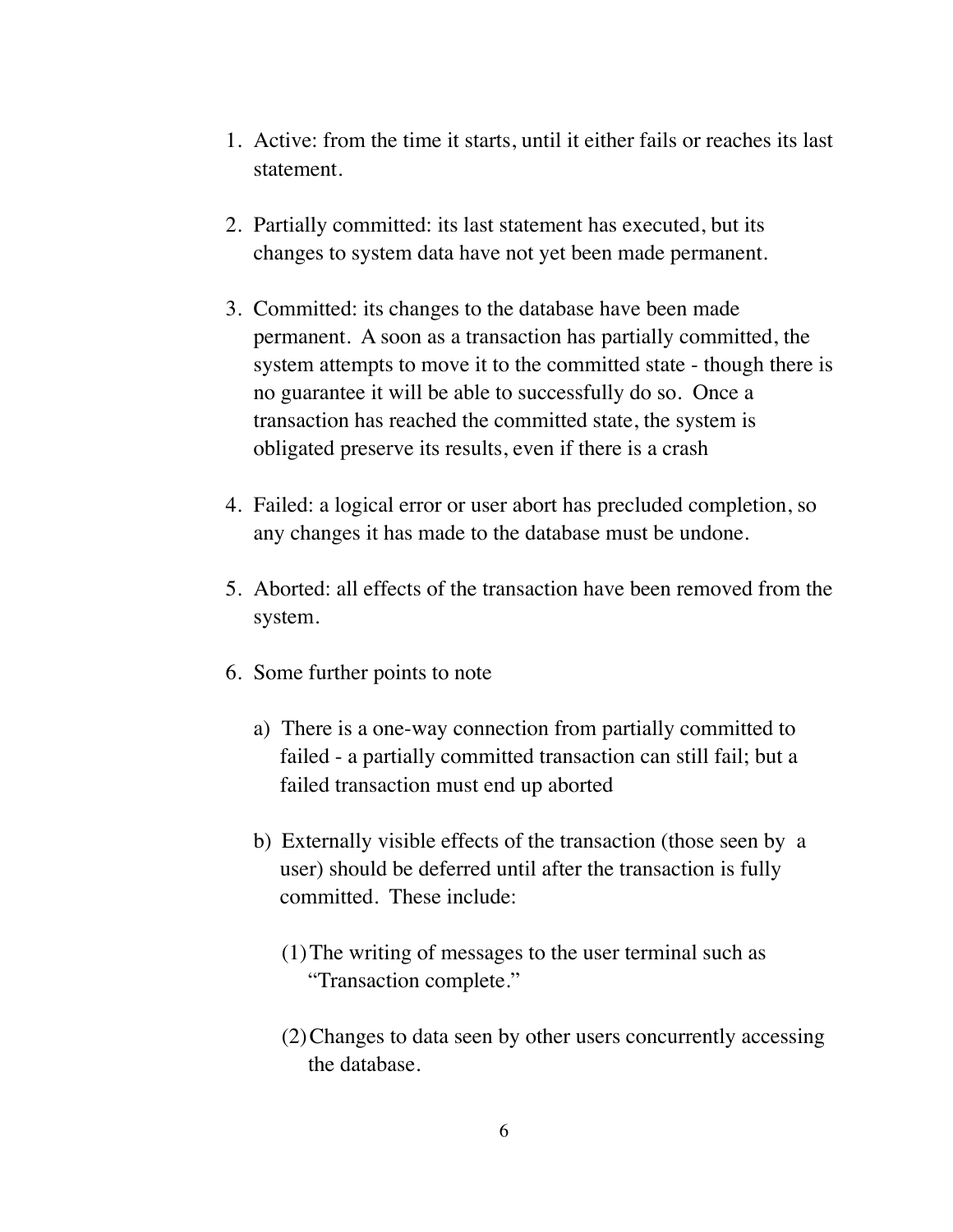- 1. Active: from the time it starts, until it either fails or reaches its last statement.
- 2. Partially committed: its last statement has executed, but its changes to system data have not yet been made permanent.
- 3. Committed: its changes to the database have been made permanent. A soon as a transaction has partially committed, the system attempts to move it to the committed state - though there is no guarantee it will be able to successfully do so. Once a transaction has reached the committed state, the system is obligated preserve its results, even if there is a crash
- 4. Failed: a logical error or user abort has precluded completion, so any changes it has made to the database must be undone.
- 5. Aborted: all effects of the transaction have been removed from the system.
- 6. Some further points to note
	- a) There is a one-way connection from partially committed to failed - a partially committed transaction can still fail; but a failed transaction must end up aborted
	- b) Externally visible effects of the transaction (those seen by a user) should be deferred until after the transaction is fully committed. These include:
		- (1)The writing of messages to the user terminal such as "Transaction complete."
		- (2)Changes to data seen by other users concurrently accessing the database.